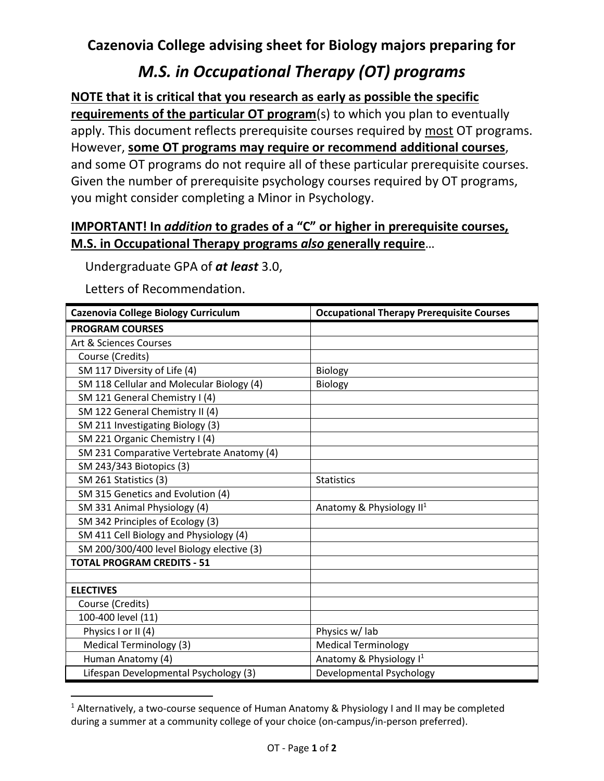## **Cazenovia College advising sheet for Biology majors preparing for**

## *M.S. in Occupational Therapy (OT) programs*

**NOTE that it is critical that you research as early as possible the specific requirements of the particular OT program**(s) to which you plan to eventually apply. This document reflects prerequisite courses required by most OT programs. However, **some OT programs may require or recommend additional courses**, and some OT programs do not require all of these particular prerequisite courses. Given the number of prerequisite psychology courses required by OT programs, you might consider completing a Minor in Psychology.

## **IMPORTANT! In** *addition* **to grades of a "C" or higher in prerequisite courses, M.S. in Occupational Therapy programs** *also* **generally require**…

Undergraduate GPA of *at least* 3.0,

Letters of Recommendation.

| <b>Cazenovia College Biology Curriculum</b> | <b>Occupational Therapy Prerequisite Courses</b> |
|---------------------------------------------|--------------------------------------------------|
| <b>PROGRAM COURSES</b>                      |                                                  |
| Art & Sciences Courses                      |                                                  |
| Course (Credits)                            |                                                  |
| SM 117 Diversity of Life (4)                | <b>Biology</b>                                   |
| SM 118 Cellular and Molecular Biology (4)   | Biology                                          |
| SM 121 General Chemistry I (4)              |                                                  |
| SM 122 General Chemistry II (4)             |                                                  |
| SM 211 Investigating Biology (3)            |                                                  |
| SM 221 Organic Chemistry I (4)              |                                                  |
| SM 231 Comparative Vertebrate Anatomy (4)   |                                                  |
| SM 243/343 Biotopics (3)                    |                                                  |
| SM 261 Statistics (3)                       | <b>Statistics</b>                                |
| SM 315 Genetics and Evolution (4)           |                                                  |
| SM 331 Animal Physiology (4)                | Anatomy & Physiology II <sup>1</sup>             |
| SM 342 Principles of Ecology (3)            |                                                  |
| SM 411 Cell Biology and Physiology (4)      |                                                  |
| SM 200/300/400 level Biology elective (3)   |                                                  |
| <b>TOTAL PROGRAM CREDITS - 51</b>           |                                                  |
|                                             |                                                  |
| <b>ELECTIVES</b>                            |                                                  |
| Course (Credits)                            |                                                  |
| 100-400 level (11)                          |                                                  |
| Physics I or II (4)                         | Physics w/ lab                                   |
| <b>Medical Terminology (3)</b>              | <b>Medical Terminology</b>                       |
| Human Anatomy (4)                           | Anatomy & Physiology I <sup>1</sup>              |
| Lifespan Developmental Psychology (3)       | Developmental Psychology                         |

<sup>&</sup>lt;sup>1</sup> Alternatively, a two-course sequence of Human Anatomy & Physiology I and II may be completed during a summer at a community college of your choice (on-campus/in-person preferred).